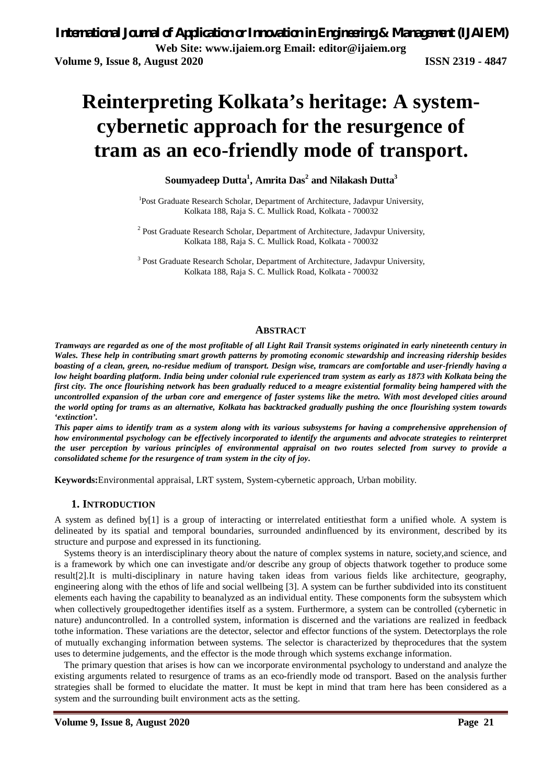# **Reinterpreting Kolkata's heritage: A systemcybernetic approach for the resurgence of tram as an eco-friendly mode of transport.**

### **Soumyadeep Dutta<sup>1</sup> , Amrita Das<sup>2</sup> and Nilakash Dutta<sup>3</sup>**

<sup>1</sup>Post Graduate Research Scholar, Department of Architecture, Jadavpur University, Kolkata 188, Raja S. C. Mullick Road, Kolkata - 700032

<sup>2</sup> Post Graduate Research Scholar, Department of Architecture, Jadavpur University, Kolkata 188, Raja S. C. Mullick Road, Kolkata - 700032

<sup>3</sup> Post Graduate Research Scholar, Department of Architecture, Jadavpur University, Kolkata 188, Raja S. C. Mullick Road, Kolkata - 700032

#### **ABSTRACT**

*Tramways are regarded as one of the most profitable of all Light Rail Transit systems originated in early nineteenth century in Wales. These help in contributing smart growth patterns by promoting economic stewardship and increasing ridership besides boasting of a clean, green, no-residue medium of transport. Design wise, tramcars are comfortable and user-friendly having a low height boarding platform. India being under colonial rule experienced tram system as early as 1873 with Kolkata being the first city. The once flourishing network has been gradually reduced to a meagre existential formality being hampered with the uncontrolled expansion of the urban core and emergence of faster systems like the metro. With most developed cities around the world opting for trams as an alternative, Kolkata has backtracked gradually pushing the once flourishing system towards 'extinction'.*

*This paper aims to identify tram as a system along with its various subsystems for having a comprehensive apprehension of how environmental psychology can be effectively incorporated to identify the arguments and advocate strategies to reinterpret the user perception by various principles of environmental appraisal on two routes selected from survey to provide a consolidated scheme for the resurgence of tram system in the city of joy.*

**Keywords:**Environmental appraisal, LRT system, System-cybernetic approach, Urban mobility.

#### **1. INTRODUCTION**

A system as defined by[1] is a group of interacting or interrelated entitiesthat form a unified whole. A system is delineated by its spatial and temporal boundaries, surrounded andinfluenced by its environment, described by its structure and purpose and expressed in its functioning.

Systems theory is an interdisciplinary theory about the nature of complex systems in nature, society,and science, and is a framework by which one can investigate and/or describe any group of objects thatwork together to produce some result[2].It is multi-disciplinary in nature having taken ideas from various fields like architecture, geography, engineering along with the ethos of life and social wellbeing [3]. A system can be further subdivided into its constituent elements each having the capability to beanalyzed as an individual entity. These components form the subsystem which when collectively groupedtogether identifies itself as a system. Furthermore, a system can be controlled (cybernetic in nature) anduncontrolled. In a controlled system, information is discerned and the variations are realized in feedback tothe information. These variations are the detector, selector and effector functions of the system. Detectorplays the role of mutually exchanging information between systems. The selector is characterized by theprocedures that the system uses to determine judgements, and the effector is the mode through which systems exchange information.

The primary question that arises is how can we incorporate environmental psychology to understand and analyze the existing arguments related to resurgence of trams as an eco-friendly mode od transport. Based on the analysis further strategies shall be formed to elucidate the matter. It must be kept in mind that tram here has been considered as a system and the surrounding built environment acts as the setting.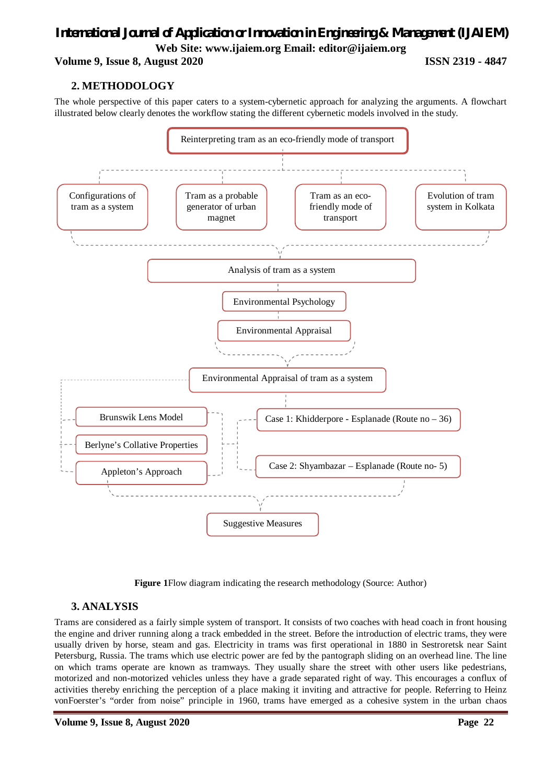**Volume 9, Issue 8, August 2020 ISSN 2319 - 4847**

### **2. METHODOLOGY**

The whole perspective of this paper caters to a system-cybernetic approach for analyzing the arguments. A flowchart illustrated below clearly denotes the workflow stating the different cybernetic models involved in the study.



**Figure 1**Flow diagram indicating the research methodology (Source: Author)

### **3. ANALYSIS**

Trams are considered as a fairly simple system of transport. It consists of two coaches with head coach in front housing the engine and driver running along a track embedded in the street. Before the introduction of electric trams, they were usually driven by horse, steam and gas. Electricity in trams was first operational in 1880 in Sestroretsk near Saint Petersburg, Russia. The trams which use electric power are fed by the pantograph sliding on an overhead line. The line on which trams operate are known as tramways. They usually share the street with other users like pedestrians, motorized and non-motorized vehicles unless they have a grade separated right of way. This encourages a conflux of activities thereby enriching the perception of a place making it inviting and attractive for people. Referring to Heinz vonFoerster's "order from noise" principle in 1960, trams have emerged as a cohesive system in the urban chaos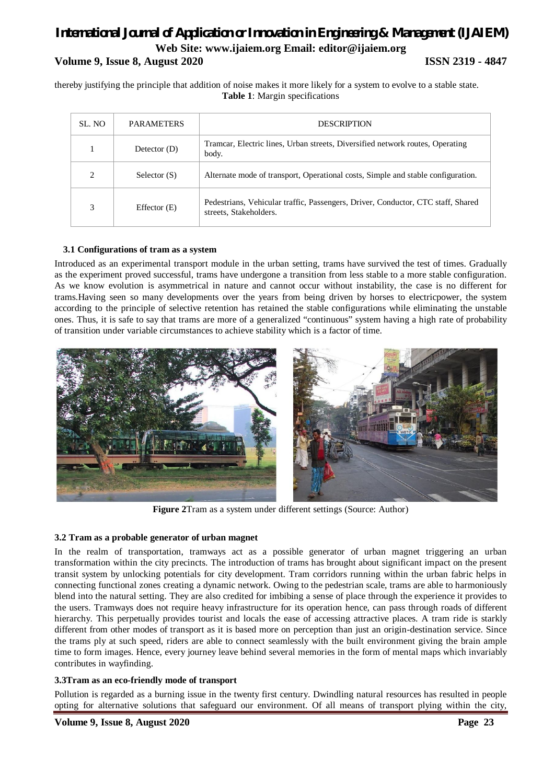## *International Journal of Application or Innovation in Engineering & Management (IJAIEM)* **Web Site: www.ijaiem.org Email: editor@ijaiem.org Volume 9, Issue 8, August 2020 ISSN 2319 - 4847**

thereby justifying the principle that addition of noise makes it more likely for a system to evolve to a stable state. **Table 1**: Margin specifications

| SL. NO                      | <b>PARAMETERS</b> | <b>DESCRIPTION</b>                                                                                         |
|-----------------------------|-------------------|------------------------------------------------------------------------------------------------------------|
|                             | Detector $(D)$    | Tramcar, Electric lines, Urban streets, Diversified network routes, Operating<br>body.                     |
| $\mathcal{D}_{\mathcal{L}}$ | Selector $(S)$    | Alternate mode of transport, Operational costs, Simple and stable configuration.                           |
| 3                           | Effector $(E)$    | Pedestrians, Vehicular traffic, Passengers, Driver, Conductor, CTC staff, Shared<br>streets, Stakeholders. |

#### **3.1 Configurations of tram as a system**

Introduced as an experimental transport module in the urban setting, trams have survived the test of times. Gradually as the experiment proved successful, trams have undergone a transition from less stable to a more stable configuration. As we know evolution is asymmetrical in nature and cannot occur without instability, the case is no different for trams.Having seen so many developments over the years from being driven by horses to electricpower, the system according to the principle of selective retention has retained the stable configurations while eliminating the unstable ones. Thus, it is safe to say that trams are more of a generalized "continuous" system having a high rate of probability of transition under variable circumstances to achieve stability which is a factor of time.



**Figure 2**Tram as a system under different settings (Source: Author)

#### **3.2 Tram as a probable generator of urban magnet**

In the realm of transportation, tramways act as a possible generator of urban magnet triggering an urban transformation within the city precincts. The introduction of trams has brought about significant impact on the present transit system by unlocking potentials for city development. Tram corridors running within the urban fabric helps in connecting functional zones creating a dynamic network. Owing to the pedestrian scale, trams are able to harmoniously blend into the natural setting. They are also credited for imbibing a sense of place through the experience it provides to the users. Tramways does not require heavy infrastructure for its operation hence, can pass through roads of different hierarchy. This perpetually provides tourist and locals the ease of accessing attractive places. A tram ride is starkly different from other modes of transport as it is based more on perception than just an origin-destination service. Since the trams ply at such speed, riders are able to connect seamlessly with the built environment giving the brain ample time to form images. Hence, every journey leave behind several memories in the form of mental maps which invariably contributes in wayfinding.

#### **3.3Tram as an eco-friendly mode of transport**

Pollution is regarded as a burning issue in the twenty first century. Dwindling natural resources has resulted in people opting for alternative solutions that safeguard our environment. Of all means of transport plying within the city,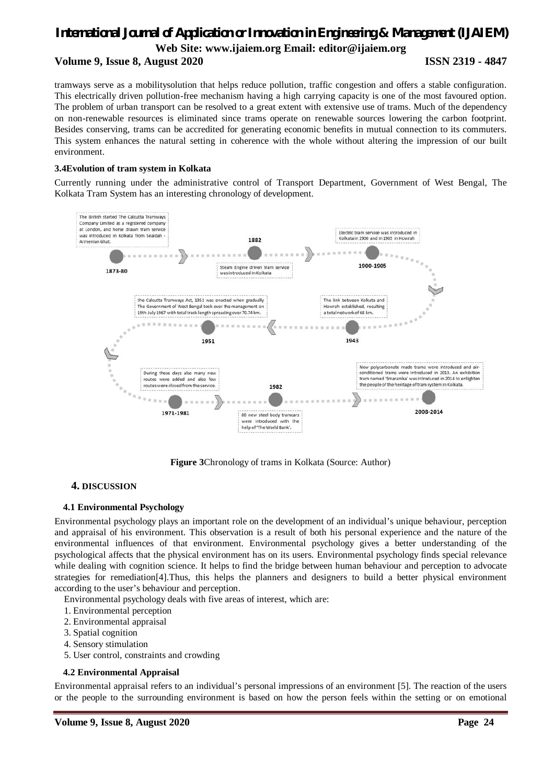#### **Volume 9, Issue 8, August 2020 ISSN 2319 - 4847**

tramways serve as a mobilitysolution that helps reduce pollution, traffic congestion and offers a stable configuration. This electrically driven pollution-free mechanism having a high carrying capacity is one of the most favoured option. The problem of urban transport can be resolved to a great extent with extensive use of trams. Much of the dependency on non-renewable resources is eliminated since trams operate on renewable sources lowering the carbon footprint. Besides conserving, trams can be accredited for generating economic benefits in mutual connection to its commuters. This system enhances the natural setting in coherence with the whole without altering the impression of our built environment.

#### **3.4Evolution of tram system in Kolkata**

Currently running under the administrative control of Transport Department, Government of West Bengal, The Kolkata Tram System has an interesting chronology of development.



**Figure 3**Chronology of trams in Kolkata (Source: Author)

#### **4. DISCUSSION**

#### **4.1 Environmental Psychology**

Environmental psychology plays an important role on the development of an individual's unique behaviour, perception and appraisal of his environment. This observation is a result of both his personal experience and the nature of the environmental influences of that environment. Environmental psychology gives a better understanding of the psychological affects that the physical environment has on its users. Environmental psychology finds special relevance while dealing with cognition science. It helps to find the bridge between human behaviour and perception to advocate strategies for remediation[4].Thus, this helps the planners and designers to build a better physical environment according to the user's behaviour and perception.

Environmental psychology deals with five areas of interest, which are:

- 1. Environmental perception
- 2. Environmental appraisal
- 3. Spatial cognition
- 4. Sensory stimulation
- 5. User control, constraints and crowding

#### **4.2 Environmental Appraisal**

Environmental appraisal refers to an individual's personal impressions of an environment [5]. The reaction of the users or the people to the surrounding environment is based on how the person feels within the setting or on emotional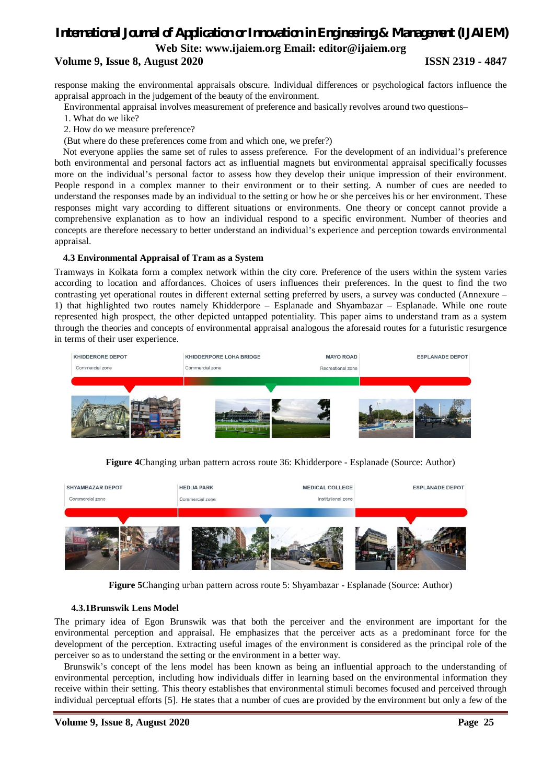#### **Volume 9, Issue 8, August 2020 ISSN 2319 - 4847**

response making the environmental appraisals obscure. Individual differences or psychological factors influence the appraisal approach in the judgement of the beauty of the environment.

Environmental appraisal involves measurement of preference and basically revolves around two questions–

- 1. What do we like?
- 2. How do we measure preference?

(But where do these preferences come from and which one, we prefer?)

Not everyone applies the same set of rules to assess preference. For the development of an individual's preference both environmental and personal factors act as influential magnets but environmental appraisal specifically focusses more on the individual's personal factor to assess how they develop their unique impression of their environment. People respond in a complex manner to their environment or to their setting. A number of cues are needed to understand the responses made by an individual to the setting or how he or she perceives his or her environment. These responses might vary according to different situations or environments. One theory or concept cannot provide a comprehensive explanation as to how an individual respond to a specific environment. Number of theories and concepts are therefore necessary to better understand an individual's experience and perception towards environmental appraisal.

#### **4.3 Environmental Appraisal of Tram as a System**

Tramways in Kolkata form a complex network within the city core. Preference of the users within the system varies according to location and affordances. Choices of users influences their preferences. In the quest to find the two contrasting yet operational routes in different external setting preferred by users, a survey was conducted (Annexure – 1) that highlighted two routes namely Khidderpore – Esplanade and Shyambazar – Esplanade. While one route represented high prospect, the other depicted untapped potentiality. This paper aims to understand tram as a system through the theories and concepts of environmental appraisal analogous the aforesaid routes for a futuristic resurgence in terms of their user experience.



**Figure 4**Changing urban pattern across route 36: Khidderpore - Esplanade (Source: Author)



**Figure 5**Changing urban pattern across route 5: Shyambazar - Esplanade (Source: Author)

#### **4.3.1Brunswik Lens Model**

The primary idea of Egon Brunswik was that both the perceiver and the environment are important for the environmental perception and appraisal. He emphasizes that the perceiver acts as a predominant force for the development of the perception. Extracting useful images of the environment is considered as the principal role of the perceiver so as to understand the setting or the environment in a better way.

Brunswik's concept of the lens model has been known as being an influential approach to the understanding of environmental perception, including how individuals differ in learning based on the environmental information they receive within their setting. This theory establishes that environmental stimuli becomes focused and perceived through individual perceptual efforts [5]. He states that a number of cues are provided by the environment but only a few of the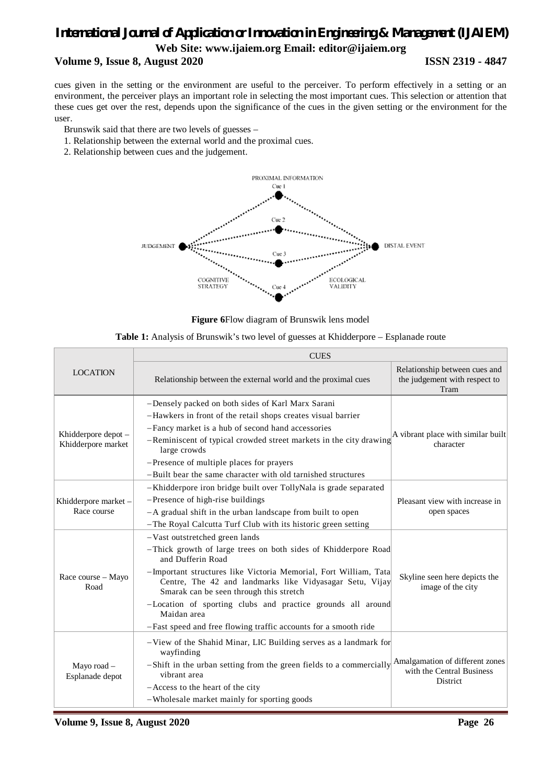## *International Journal of Application or Innovation in Engineering & Management (IJAIEM)*

## **Web Site: www.ijaiem.org Email: editor@ijaiem.org**

#### **Volume 9, Issue 8, August 2020 ISSN 2319 - 4847**

cues given in the setting or the environment are useful to the perceiver. To perform effectively in a setting or an environment, the perceiver plays an important role in selecting the most important cues. This selection or attention that these cues get over the rest, depends upon the significance of the cues in the given setting or the environment for the user.

- Brunswik said that there are two levels of guesses –
- 1. Relationship between the external world and the proximal cues.
- 2. Relationship between cues and the judgement.



**Figure 6**Flow diagram of Brunswik lens model

|                                | <b>CUES</b>                                                                                                                                                             |                                                                        |  |  |  |
|--------------------------------|-------------------------------------------------------------------------------------------------------------------------------------------------------------------------|------------------------------------------------------------------------|--|--|--|
| <b>LOCATION</b>                | Relationship between the external world and the proximal cues                                                                                                           | Relationship between cues and<br>the judgement with respect to<br>Tram |  |  |  |
|                                | -Densely packed on both sides of Karl Marx Sarani                                                                                                                       |                                                                        |  |  |  |
|                                | -Hawkers in front of the retail shops creates visual barrier                                                                                                            |                                                                        |  |  |  |
| Khidderpore depot -            | -Fancy market is a hub of second hand accessories                                                                                                                       | A vibrant place with similar built                                     |  |  |  |
| Khidderpore market             | -Reminiscent of typical crowded street markets in the city drawing<br>large crowds                                                                                      | character                                                              |  |  |  |
|                                | -Presence of multiple places for prayers                                                                                                                                |                                                                        |  |  |  |
|                                | -Built bear the same character with old tarnished structures                                                                                                            |                                                                        |  |  |  |
|                                | -Khidderpore iron bridge built over TollyNala is grade separated                                                                                                        |                                                                        |  |  |  |
| Khidderpore market -           | -Presence of high-rise buildings                                                                                                                                        | Pleasant view with increase in                                         |  |  |  |
| Race course                    | -A gradual shift in the urban landscape from built to open                                                                                                              | open spaces                                                            |  |  |  |
|                                | -The Royal Calcutta Turf Club with its historic green setting                                                                                                           |                                                                        |  |  |  |
|                                | -Vast outstretched green lands                                                                                                                                          |                                                                        |  |  |  |
|                                | -Thick growth of large trees on both sides of Khidderpore Road<br>and Dufferin Road                                                                                     |                                                                        |  |  |  |
| Race course - Mayo<br>Road     | -Important structures like Victoria Memorial, Fort William, Tata<br>Centre, The 42 and landmarks like Vidyasagar Setu, Vijay<br>Smarak can be seen through this stretch | Skyline seen here depicts the<br>image of the city                     |  |  |  |
|                                | -Location of sporting clubs and practice grounds all around<br>Maidan area                                                                                              |                                                                        |  |  |  |
|                                | -Fast speed and free flowing traffic accounts for a smooth ride                                                                                                         |                                                                        |  |  |  |
|                                | -View of the Shahid Minar, LIC Building serves as a landmark for<br>wayfinding                                                                                          |                                                                        |  |  |  |
| Mayo road -<br>Esplanade depot | -Shift in the urban setting from the green fields to a commercially<br>vibrant area                                                                                     | Amalgamation of different zones<br>with the Central Business           |  |  |  |
|                                | -Access to the heart of the city                                                                                                                                        | District                                                               |  |  |  |
|                                | -Wholesale market mainly for sporting goods                                                                                                                             |                                                                        |  |  |  |

| Table 1: Analysis of Brunswik's two level of guesses at Khidderpore - Esplanade route |  |  |  |
|---------------------------------------------------------------------------------------|--|--|--|
|---------------------------------------------------------------------------------------|--|--|--|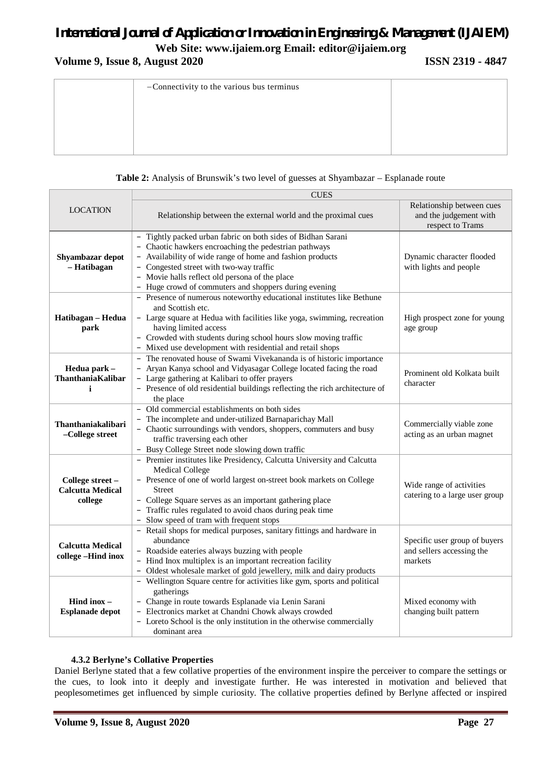**Volume 9, Issue 8, August 2020 ISSN 2319 - 4847**

| -Connectivity to the various bus terminus |  |
|-------------------------------------------|--|
|                                           |  |
|                                           |  |
|                                           |  |
|                                           |  |

#### **Table 2:** Analysis of Brunswik's two level of guesses at Shyambazar – Esplanade route

|                                                        | <b>CUES</b>                                                                                                                                                                                                                                                                                                                                                   |                                                                         |  |  |  |
|--------------------------------------------------------|---------------------------------------------------------------------------------------------------------------------------------------------------------------------------------------------------------------------------------------------------------------------------------------------------------------------------------------------------------------|-------------------------------------------------------------------------|--|--|--|
| <b>LOCATION</b>                                        | Relationship between the external world and the proximal cues                                                                                                                                                                                                                                                                                                 | Relationship between cues<br>and the judgement with<br>respect to Trams |  |  |  |
| Shyambazar depot<br>- Hatibagan                        | - Tightly packed urban fabric on both sides of Bidhan Sarani<br>- Chaotic hawkers encroaching the pedestrian pathways<br>- Availability of wide range of home and fashion products<br>- Congested street with two-way traffic<br>- Movie halls reflect old persona of the place<br>- Huge crowd of commuters and shoppers during evening                      | Dynamic character flooded<br>with lights and people                     |  |  |  |
| Hatibagan - Hedua<br>park                              | - Presence of numerous noteworthy educational institutes like Bethune<br>and Scottish etc.<br>- Large square at Hedua with facilities like yoga, swimming, recreation<br>having limited access<br>- Crowded with students during school hours slow moving traffic<br>- Mixed use development with residential and retail shops                                | High prospect zone for young<br>age group                               |  |  |  |
| Hedua park -<br>ThanthaniaKalibar<br>i                 | - The renovated house of Swami Vivekananda is of historic importance<br>- Aryan Kanya school and Vidyasagar College located facing the road<br>- Large gathering at Kalibari to offer prayers<br>- Presence of old residential buildings reflecting the rich architecture of<br>the place                                                                     | Prominent old Kolkata built<br>character                                |  |  |  |
| Thanthaniakalibari<br>-College street                  | - Old commercial establishments on both sides<br>The incomplete and under-utilized Barnaparichay Mall<br>- Chaotic surroundings with vendors, shoppers, commuters and busy<br>traffic traversing each other<br>- Busy College Street node slowing down traffic                                                                                                | Commercially viable zone<br>acting as an urban magnet                   |  |  |  |
| College street -<br><b>Calcutta Medical</b><br>college | - Premier institutes like Presidency, Calcutta University and Calcutta<br><b>Medical College</b><br>- Presence of one of world largest on-street book markets on College<br><b>Street</b><br>- College Square serves as an important gathering place<br>- Traffic rules regulated to avoid chaos during peak time<br>- Slow speed of tram with frequent stops | Wide range of activities<br>catering to a large user group              |  |  |  |
| <b>Calcutta Medical</b><br>college-Hind inox           | - Retail shops for medical purposes, sanitary fittings and hardware in<br>abundance<br>- Roadside eateries always buzzing with people<br>- Hind Inox multiplex is an important recreation facility<br>- Oldest wholesale market of gold jewellery, milk and dairy products                                                                                    | Specific user group of buyers<br>and sellers accessing the<br>markets   |  |  |  |
| Hind inox $-$<br><b>Esplanade depot</b>                | - Wellington Square centre for activities like gym, sports and political<br>gatherings<br>- Change in route towards Esplanade via Lenin Sarani<br>- Electronics market at Chandni Chowk always crowded<br>- Loreto School is the only institution in the otherwise commercially<br>dominant area                                                              | Mixed economy with<br>changing built pattern                            |  |  |  |

#### **4.3.2 Berlyne's Collative Properties**

Daniel Berlyne stated that a few collative properties of the environment inspire the perceiver to compare the settings or the cues, to look into it deeply and investigate further. He was interested in motivation and believed that peoplesometimes get influenced by simple curiosity. The collative properties defined by Berlyne affected or inspired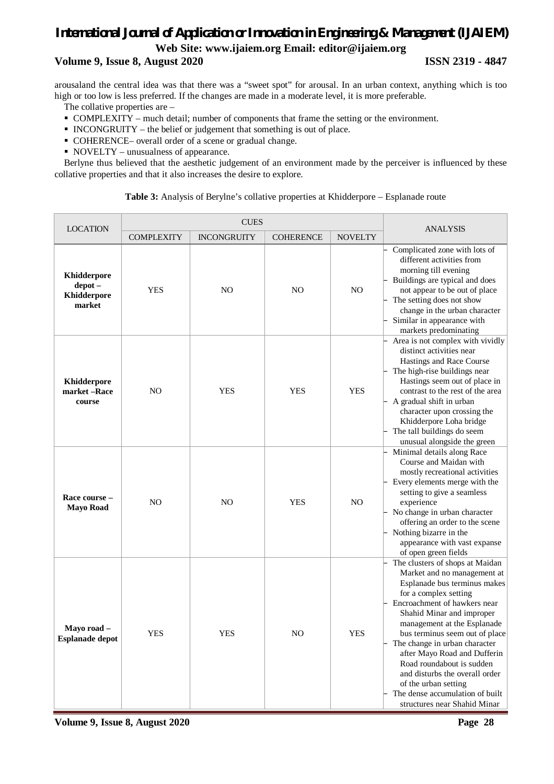#### **Volume 9, Issue 8, August 2020 ISSN 2319 - 4847**

arousaland the central idea was that there was a "sweet spot" for arousal. In an urban context, anything which is too high or too low is less preferred. If the changes are made in a moderate level, it is more preferable.

- The collative properties are –
- COMPLEXITY much detail; number of components that frame the setting or the environment.
- $\blacksquare$  INCONGRUITY the belief or judgement that something is out of place.
- COHERENCE– overall order of a scene or gradual change.
- NOVELTY unusualness of appearance.

Berlyne thus believed that the aesthetic judgement of an environment made by the perceiver is influenced by these collative properties and that it also increases the desire to explore.

#### **Table 3:** Analysis of Berylne's collative properties at Khidderpore – Esplanade route

| <b>LOCATION</b>                                       |                   | <b>CUES</b>        | <b>ANALYSIS</b>  |                |                                                                                                                                                                                                                                                                                                                                                                                                                                                                                  |
|-------------------------------------------------------|-------------------|--------------------|------------------|----------------|----------------------------------------------------------------------------------------------------------------------------------------------------------------------------------------------------------------------------------------------------------------------------------------------------------------------------------------------------------------------------------------------------------------------------------------------------------------------------------|
|                                                       | <b>COMPLEXITY</b> | <b>INCONGRUITY</b> | <b>COHERENCE</b> | <b>NOVELTY</b> |                                                                                                                                                                                                                                                                                                                                                                                                                                                                                  |
| <b>Khidderpore</b><br>depot-<br>Khidderpore<br>market | <b>YES</b>        | N <sub>O</sub>     | N <sub>O</sub>   | N <sub>O</sub> | Complicated zone with lots of<br>different activities from<br>morning till evening<br>Buildings are typical and does<br>not appear to be out of place<br>The setting does not show<br>change in the urban character<br>Similar in appearance with<br>markets predominating                                                                                                                                                                                                       |
| <b>Khidderpore</b><br>market-Race<br>course           | NO                | <b>YES</b>         | <b>YES</b>       | <b>YES</b>     | Area is not complex with vividly<br>distinct activities near<br>Hastings and Race Course<br>The high-rise buildings near<br>Hastings seem out of place in<br>contrast to the rest of the area<br>A gradual shift in urban<br>character upon crossing the<br>Khidderpore Loha bridge<br>The tall buildings do seem<br>unusual alongside the green                                                                                                                                 |
| Race course –<br><b>Mayo Road</b>                     | NO                | NO                 | <b>YES</b>       | N <sub>O</sub> | Minimal details along Race<br>Course and Maidan with<br>mostly recreational activities<br>Every elements merge with the<br>setting to give a seamless<br>experience<br>No change in urban character<br>offering an order to the scene<br>Nothing bizarre in the<br>appearance with vast expanse<br>of open green fields                                                                                                                                                          |
| Mayo road<br><b>Esplanade depot</b>                   | <b>YES</b>        | <b>YES</b>         | NO               | <b>YES</b>     | The clusters of shops at Maidan<br>Market and no management at<br>Esplanade bus terminus makes<br>for a complex setting<br>Encroachment of hawkers near<br>Shahid Minar and improper<br>management at the Esplanade<br>bus terminus seem out of place<br>The change in urban character<br>after Mayo Road and Dufferin<br>Road roundabout is sudden<br>and disturbs the overall order<br>of the urban setting<br>The dense accumulation of built<br>structures near Shahid Minar |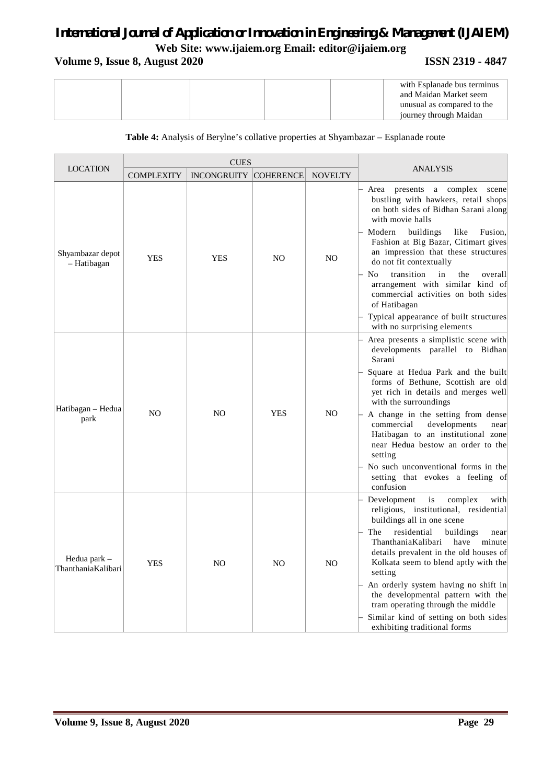## **Volume 9, Issue 8, August 2020 ISSN 2319 - 4847**

|  |  | with Esplanade bus terminus<br>and Maidan Market seem |
|--|--|-------------------------------------------------------|
|  |  | unusual as compared to the                            |
|  |  | journey through Maidan                                |

#### **Table 4:** Analysis of Berylne's collative properties at Shyambazar – Esplanade route

|                                    |                   | <b>CUES</b>                  |                |                |                                                                                                                                                                                                                                                                                            |
|------------------------------------|-------------------|------------------------------|----------------|----------------|--------------------------------------------------------------------------------------------------------------------------------------------------------------------------------------------------------------------------------------------------------------------------------------------|
| <b>LOCATION</b>                    | <b>COMPLEXITY</b> | <b>INCONGRUITY COHERENCE</b> |                | <b>NOVELTY</b> | <b>ANALYSIS</b>                                                                                                                                                                                                                                                                            |
| Shyambazar depot<br>- Hatibagan    | <b>YES</b>        | <b>YES</b>                   | N <sub>O</sub> | N <sub>O</sub> | Area<br>presents a complex<br>scene<br>bustling with hawkers, retail shops<br>on both sides of Bidhan Sarani along<br>with movie halls<br>Modern<br>buildings<br>like<br>Fusion,<br>Fashion at Big Bazar, Citimart gives<br>an impression that these structures<br>do not fit contextually |
|                                    |                   |                              |                |                | N <sub>0</sub><br>transition<br>in<br>the<br>overall<br>arrangement with similar kind of<br>commercial activities on both sides<br>of Hatibagan<br>Typical appearance of built structures                                                                                                  |
|                                    |                   |                              |                |                | with no surprising elements                                                                                                                                                                                                                                                                |
|                                    | N <sub>O</sub>    |                              | <b>YES</b>     |                | Area presents a simplistic scene with<br>developments parallel to Bidhan<br>Sarani                                                                                                                                                                                                         |
|                                    |                   | N <sub>O</sub>               |                | N <sub>O</sub> | Square at Hedua Park and the built<br>forms of Bethune, Scottish are old<br>yet rich in details and merges well<br>with the surroundings                                                                                                                                                   |
| Hatibagan – Hedua<br>park          |                   |                              |                |                | A change in the setting from dense<br>commercial<br>developments<br>near<br>Hatibagan to an institutional zone<br>near Hedua bestow an order to the<br>setting                                                                                                                             |
|                                    |                   |                              |                |                | No such unconventional forms in the<br>setting that evokes a feeling of<br>confusion                                                                                                                                                                                                       |
| Hedua park –<br>ThanthaniaKalibari | <b>YES</b>        |                              | N <sub>O</sub> |                | Development<br>is<br>complex<br>with<br>religious, institutional, residential<br>buildings all in one scene                                                                                                                                                                                |
|                                    |                   | NO.                          |                | NO             | The<br>residential<br>buildings<br>near<br>ThanthaniaKalibari<br>have<br>minute<br>details prevalent in the old houses of<br>Kolkata seem to blend aptly with the<br>setting                                                                                                               |
|                                    |                   |                              |                |                | An orderly system having no shift in<br>the developmental pattern with the<br>tram operating through the middle<br>Similar kind of setting on both sides                                                                                                                                   |
|                                    |                   |                              |                |                | exhibiting traditional forms                                                                                                                                                                                                                                                               |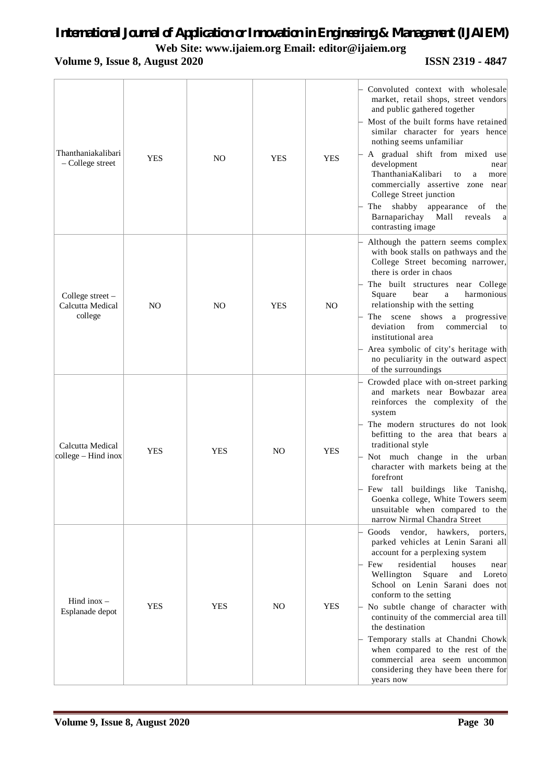## *International Journal of Application or Innovation in Engineering & Management (IJAIEM)*

**Web Site: www.ijaiem.org Email: editor@ijaiem.org**

## **Volume 9, Issue 8, August 2020 ISSN 2319 - 4847**

| Thanthaniakalibari<br>- College street            | <b>YES</b>     | NO             | <b>YES</b>     | <b>YES</b>     | Convoluted context with wholesale<br>market, retail shops, street vendors<br>and public gathered together<br>Most of the built forms have retained<br>similar character for years hence<br>nothing seems unfamiliar<br>A gradual shift from mixed use<br>development<br>near<br>ThanthaniaKalibari<br>to<br>a<br>more<br>commercially assertive zone near<br>College Street junction<br>shabby<br>The<br>appearance<br>of<br>the<br>Barnaparichay<br>Mall<br>reveals<br>a<br>contrasting image                                         |
|---------------------------------------------------|----------------|----------------|----------------|----------------|----------------------------------------------------------------------------------------------------------------------------------------------------------------------------------------------------------------------------------------------------------------------------------------------------------------------------------------------------------------------------------------------------------------------------------------------------------------------------------------------------------------------------------------|
| College street $-$<br>Calcutta Medical<br>college | N <sub>O</sub> | N <sub>O</sub> | <b>YES</b>     | N <sub>O</sub> | Although the pattern seems complex<br>with book stalls on pathways and the<br>College Street becoming narrower,<br>there is order in chaos<br>The built structures near College<br>harmonious<br>Square<br>bear<br>a<br>relationship with the setting<br>The<br>scene<br>shows<br>a progressive<br>deviation<br>commercial<br>from<br>to<br>institutional area<br>Area symbolic of city's heritage with<br>no peculiarity in the outward aspect<br>of the surroundings                                                                 |
| Calcutta Medical<br>college – Hind inox           | <b>YES</b>     | <b>YES</b>     | N <sub>O</sub> | <b>YES</b>     | Crowded place with on-street parking<br>and markets near Bowbazar area<br>reinforces the complexity of the<br>system<br>The modern structures do not look<br>befitting to the area that bears a<br>traditional style<br>$-$ Not much change in the urban<br>character with markets being at the<br>forefront<br>- Few tall buildings like Tanishq,<br>Goenka college, White Towers seem<br>unsuitable when compared to the<br>narrow Nirmal Chandra Street                                                                             |
| Hind inox $-$<br>Esplanade depot                  | <b>YES</b>     | <b>YES</b>     | NO.            | <b>YES</b>     | Goods<br>vendor, hawkers, porters,<br>parked vehicles at Lenin Sarani all<br>account for a perplexing system<br>residential<br>- Few<br>houses<br>near<br>Wellington<br>Square<br>and<br>Loreto<br>School on Lenin Sarani does not<br>conform to the setting<br>$\vert$ No subtle change of character with<br>continuity of the commercial area till<br>the destination<br>Temporary stalls at Chandni Chowk<br>when compared to the rest of the<br>commercial area seem uncommon<br>considering they have been there for<br>years now |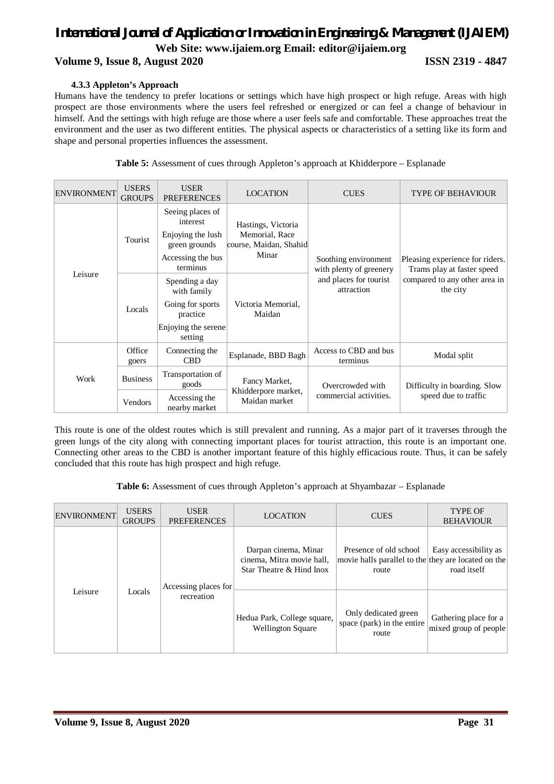### **Volume 9, Issue 8, August 2020 ISSN 2319 - 4847**

#### **4.3.3 Appleton's Approach**

Humans have the tendency to prefer locations or settings which have high prospect or high refuge. Areas with high prospect are those environments where the users feel refreshed or energized or can feel a change of behaviour in himself. And the settings with high refuge are those where a user feels safe and comfortable. These approaches treat the environment and the user as two different entities. The physical aspects or characteristics of a setting like its form and shape and personal properties influences the assessment.

| <b>ENVIRONMENT</b> | <b>USERS</b><br><b>GROUPS</b> | <b>USER</b><br><b>PREFERENCES</b>                                                                   | <b>LOCATION</b>                                                         | <b>CUES</b>                                     | <b>TYPE OF BEHAVIOUR</b>                                      |  |
|--------------------|-------------------------------|-----------------------------------------------------------------------------------------------------|-------------------------------------------------------------------------|-------------------------------------------------|---------------------------------------------------------------|--|
|                    | Tourist                       | Seeing places of<br>interest<br>Enjoying the lush<br>green grounds<br>Accessing the bus<br>terminus | Hastings, Victoria<br>Memorial, Race<br>course, Maidan, Shahid<br>Minar | Soothing environment<br>with plenty of greenery | Pleasing experience for riders.<br>Trams play at faster speed |  |
| Leisure            | Locals                        | Spending a day<br>with family<br>Going for sports<br>practice<br>Enjoying the serene<br>setting     | Victoria Memorial,<br>Maidan                                            | and places for tourist<br>attraction            | compared to any other area in<br>the city                     |  |
| Work               | Office<br>goers               | Connecting the<br><b>CBD</b>                                                                        | Esplanade, BBD Bagh                                                     | Access to CBD and bus<br>terminus               | Modal split                                                   |  |
|                    | <b>Business</b>               | Transportation of<br>goods                                                                          | Fancy Market,                                                           | Overcrowded with                                | Difficulty in boarding. Slow<br>speed due to traffic          |  |
|                    | Vendors                       | Accessing the<br>nearby market                                                                      | Khidderpore market,<br>Maidan market                                    | commercial activities.                          |                                                               |  |

**Table 5:** Assessment of cues through Appleton's approach at Khidderpore – Esplanade

This route is one of the oldest routes which is still prevalent and running. As a major part of it traverses through the green lungs of the city along with connecting important places for tourist attraction, this route is an important one. Connecting other areas to the CBD is another important feature of this highly efficacious route. Thus, it can be safely concluded that this route has high prospect and high refuge.

**Table 6:** Assessment of cues through Appleton's approach at Shyambazar – Esplanade

| <b>ENVIRONMENT</b> | <b>USERS</b><br><b>GROUPS</b> | <b>USER</b><br><b>PREFERENCES</b> | <b>LOCATION</b>                                                               | <b>CUES</b>                                                                            | <b>TYPE OF</b><br><b>BEHAVIOUR</b>             |
|--------------------|-------------------------------|-----------------------------------|-------------------------------------------------------------------------------|----------------------------------------------------------------------------------------|------------------------------------------------|
|                    |                               | Accessing places for              | Darpan cinema, Minar<br>cinema, Mitra movie hall,<br>Star Theatre & Hind Inox | Presence of old school<br>movie halls parallel to the they are located on the<br>route | Easy accessibility as<br>road itself           |
| Leisure            | Locals                        | recreation                        | Hedua Park, College square,<br><b>Wellington Square</b>                       | Only dedicated green<br>space (park) in the entire<br>route                            | Gathering place for a<br>mixed group of people |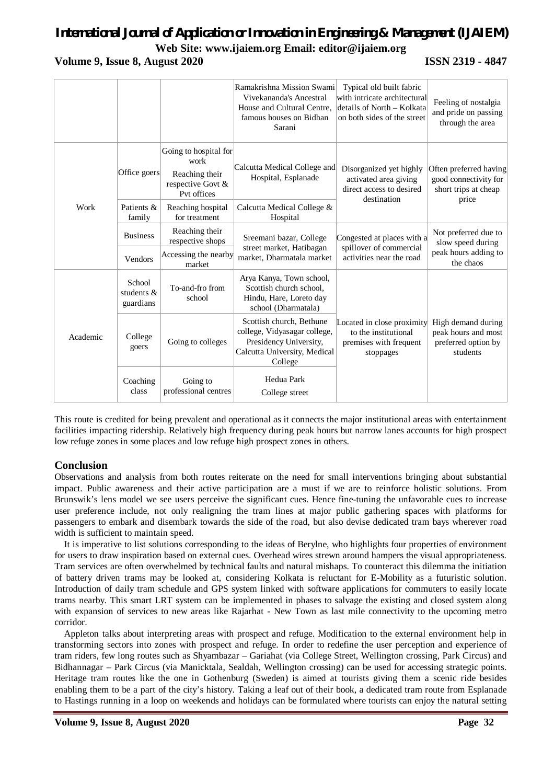## *International Journal of Application or Innovation in Engineering & Management (IJAIEM)*

**Web Site: www.ijaiem.org Email: editor@ijaiem.org**

#### **Volume 9, Issue 8, August 2020 ISSN 2319 - 4847**

|          |                                      |                                                                                     | Ramakrishna Mission Swami<br>Vivekananda's Ancestral<br>House and Cultural Centre,<br>famous houses on Bidhan<br>Sarani       | Typical old built fabric<br>with intricate architectural<br>details of North - Kolkata<br>on both sides of the street | Feeling of nostalgia<br>and pride on passing<br>through the area                 |
|----------|--------------------------------------|-------------------------------------------------------------------------------------|-------------------------------------------------------------------------------------------------------------------------------|-----------------------------------------------------------------------------------------------------------------------|----------------------------------------------------------------------------------|
|          | Office goers                         | Going to hospital for<br>work<br>Reaching their<br>respective Govt &<br>Pyt offices | Calcutta Medical College and<br>Hospital, Esplanade                                                                           | Disorganized yet highly<br>activated area giving<br>direct access to desired<br>destination                           | Often preferred having<br>good connectivity for<br>short trips at cheap<br>price |
| Work     | Patients &<br>family                 | Reaching hospital<br>for treatment                                                  | Calcutta Medical College &<br>Hospital                                                                                        |                                                                                                                       |                                                                                  |
|          | <b>Business</b>                      | Reaching their<br>respective shops                                                  | Sreemani bazar, College                                                                                                       | Congested at places with a<br>spillover of commercial                                                                 | Not preferred due to<br>slow speed during                                        |
|          | Vendors                              | Accessing the nearby<br>market                                                      | street market, Hatibagan<br>market, Dharmatala market                                                                         | activities near the road                                                                                              | peak hours adding to<br>the chaos                                                |
|          | School<br>students $\&$<br>guardians | To-and-fro from<br>school                                                           | Arya Kanya, Town school,<br>Scottish church school,<br>Hindu, Hare, Loreto day<br>school (Dharmatala)                         |                                                                                                                       |                                                                                  |
| Academic | College<br>goers                     | Going to colleges                                                                   | Scottish church, Bethune<br>college, Vidyasagar college,<br>Presidency University,<br>Calcutta University, Medical<br>College | Located in close proximity<br>to the institutional<br>premises with frequent<br>stoppages                             | High demand during<br>peak hours and most<br>preferred option by<br>students     |
|          | Coaching<br>class                    | Going to<br>professional centres                                                    | Hedua Park<br>College street                                                                                                  |                                                                                                                       |                                                                                  |

This route is credited for being prevalent and operational as it connects the major institutional areas with entertainment facilities impacting ridership. Relatively high frequency during peak hours but narrow lanes accounts for high prospect low refuge zones in some places and low refuge high prospect zones in others.

### **Conclusion**

Observations and analysis from both routes reiterate on the need for small interventions bringing about substantial impact. Public awareness and their active participation are a must if we are to reinforce holistic solutions. From Brunswik's lens model we see users perceive the significant cues. Hence fine-tuning the unfavorable cues to increase user preference include, not only realigning the tram lines at major public gathering spaces with platforms for passengers to embark and disembark towards the side of the road, but also devise dedicated tram bays wherever road width is sufficient to maintain speed.

It is imperative to list solutions corresponding to the ideas of Berylne, who highlights four properties of environment for users to draw inspiration based on external cues. Overhead wires strewn around hampers the visual appropriateness. Tram services are often overwhelmed by technical faults and natural mishaps. To counteract this dilemma the initiation of battery driven trams may be looked at, considering Kolkata is reluctant for E-Mobility as a futuristic solution. Introduction of daily tram schedule and GPS system linked with software applications for commuters to easily locate trams nearby. This smart LRT system can be implemented in phases to salvage the existing and closed system along with expansion of services to new areas like Rajarhat - New Town as last mile connectivity to the upcoming metro corridor.

Appleton talks about interpreting areas with prospect and refuge. Modification to the external environment help in transforming sectors into zones with prospect and refuge. In order to redefine the user perception and experience of tram riders, few long routes such as Shyambazar – Gariahat (via College Street, Wellington crossing, Park Circus) and Bidhannagar – Park Circus (via Manicktala, Sealdah, Wellington crossing) can be used for accessing strategic points. Heritage tram routes like the one in Gothenburg (Sweden) is aimed at tourists giving them a scenic ride besides enabling them to be a part of the city's history. Taking a leaf out of their book, a dedicated tram route from Esplanade to Hastings running in a loop on weekends and holidays can be formulated where tourists can enjoy the natural setting